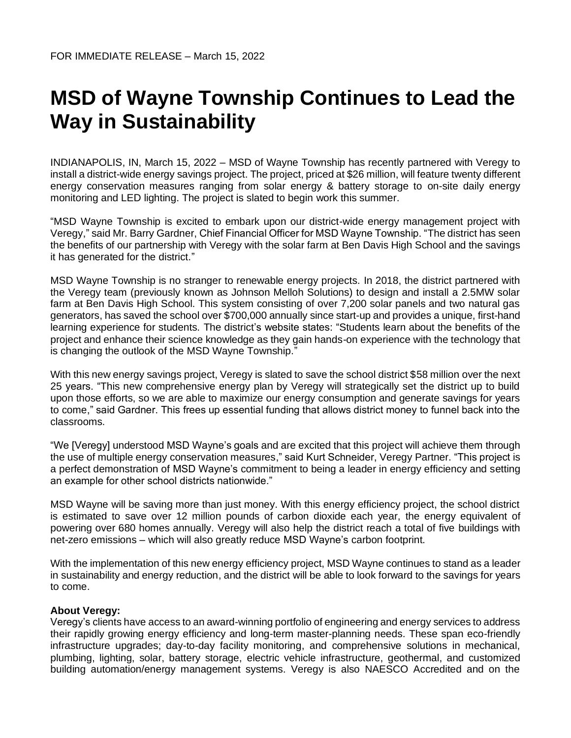## **MSD of Wayne Township Continues to Lead the Way in Sustainability**

INDIANAPOLIS, IN, March 15, 2022 – MSD of Wayne Township has recently partnered with Veregy to install a district-wide energy savings project. The project, priced at \$26 million, will feature twenty different energy conservation measures ranging from solar energy & battery storage to on-site daily energy monitoring and LED lighting. The project is slated to begin work this summer.

"MSD Wayne Township is excited to embark upon our district-wide energy management project with Veregy," said Mr. Barry Gardner, Chief Financial Officer for MSD Wayne Township. "The district has seen the benefits of our partnership with Veregy with the solar farm at Ben Davis High School and the savings it has generated for the district."

MSD Wayne Township is no stranger to renewable energy projects. In 2018, the district partnered with the Veregy team (previously known as Johnson Melloh Solutions) to design and install a 2.5MW solar farm at Ben Davis High School. This system consisting of over 7,200 solar panels and two natural gas generators, has saved the school over \$700,000 annually since start-up and provides a unique, first-hand learning experience for students. The district's website states: "Students learn about the benefits of the project and enhance their science knowledge as they gain hands-on experience with the technology that is changing the outlook of the MSD Wayne Township.'

With this new energy savings project, Veregy is slated to save the school district \$58 million over the next 25 years. "This new comprehensive energy plan by Veregy will strategically set the district up to build upon those efforts, so we are able to maximize our energy consumption and generate savings for years to come," said Gardner. This frees up essential funding that allows district money to funnel back into the classrooms.

"We [Veregy] understood MSD Wayne's goals and are excited that this project will achieve them through the use of multiple energy conservation measures," said Kurt Schneider, Veregy Partner. "This project is a perfect demonstration of MSD Wayne's commitment to being a leader in energy efficiency and setting an example for other school districts nationwide."

MSD Wayne will be saving more than just money. With this energy efficiency project, the school district is estimated to save over 12 million pounds of carbon dioxide each year, the energy equivalent of powering over 680 homes annually. Veregy will also help the district reach a total of five buildings with net-zero emissions – which will also greatly reduce MSD Wayne's carbon footprint.

With the implementation of this new energy efficiency project, MSD Wayne continues to stand as a leader in sustainability and energy reduction, and the district will be able to look forward to the savings for years to come.

## **About Veregy:**

Veregy's clients have access to an award-winning portfolio of engineering and energy services to address their rapidly growing energy efficiency and long-term master-planning needs. These span eco-friendly infrastructure upgrades; day-to-day facility monitoring, and comprehensive solutions in mechanical, plumbing, lighting, solar, battery storage, electric vehicle infrastructure, geothermal, and customized building automation/energy management systems. Veregy is also NAESCO Accredited and on the